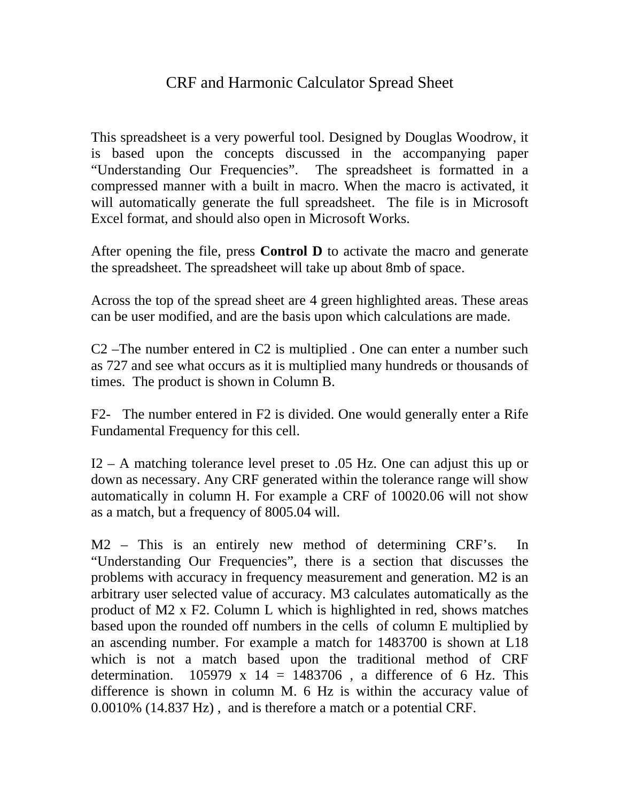## CRF and Harmonic Calculator Spread Sheet

This spreadsheet is a very powerful tool. Designed by Douglas Woodrow, it is based upon the concepts discussed in the accompanying paper "Understanding Our Frequencies". The spreadsheet is formatted in a compressed manner with a built in macro. When the macro is activated, it will automatically generate the full spreadsheet. The file is in Microsoft Excel format, and should also open in Microsoft Works.

After opening the file, press **Control D** to activate the macro and generate the spreadsheet. The spreadsheet will take up about 8mb of space.

Across the top of the spread sheet are 4 green highlighted areas. These areas can be user modified, and are the basis upon which calculations are made.

C2 –The number entered in C2 is multiplied . One can enter a number such as 727 and see what occurs as it is multiplied many hundreds or thousands of times. The product is shown in Column B.

F2- The number entered in F2 is divided. One would generally enter a Rife Fundamental Frequency for this cell.

I2 – A matching tolerance level preset to .05 Hz. One can adjust this up or down as necessary. Any CRF generated within the tolerance range will show automatically in column H. For example a CRF of 10020.06 will not show as a match, but a frequency of 8005.04 will.

M2 – This is an entirely new method of determining CRF's. In "Understanding Our Frequencies", there is a section that discusses the problems with accuracy in frequency measurement and generation. M2 is an arbitrary user selected value of accuracy. M3 calculates automatically as the product of M2 x F2. Column L which is highlighted in red, shows matches based upon the rounded off numbers in the cells of column E multiplied by an ascending number. For example a match for 1483700 is shown at L18 which is not a match based upon the traditional method of CRF determination.  $105979 \times 14 = 1483706$ , a difference of 6 Hz. This difference is shown in column M. 6 Hz is within the accuracy value of 0.0010% (14.837 Hz) , and is therefore a match or a potential CRF.